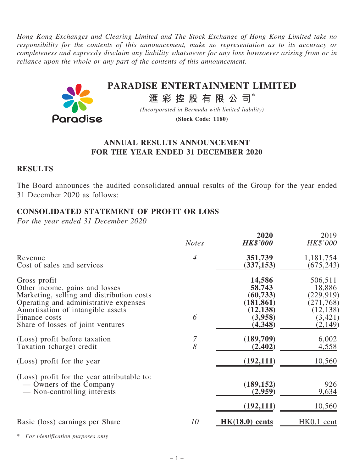Hong Kong Exchanges and Clearing Limited and The Stock Exchange of Hong Kong Limited take no responsibility for the contents of this announcement, make no representation as to its accuracy or completeness and expressly disclaim any liability whatsoever for any loss howsoever arising from or in reliance upon the whole or any part of the contents of this announcement.



## ANNUAL RESULTS ANNOUNCEMENT FOR THE YEAR ENDED 31 DECEMBER 2020

#### **RESULTS**

The Board announces the audited consolidated annual results of the Group for the year ended 31 December 2020 as follows:

## CONSOLIDATED STATEMENT OF PROFIT OR LOSS

For the year ended 31 December 2020

|                                             | <b>Notes</b>   | 2020<br><b>HK\$'000</b> | 2019<br>HK\$'000 |
|---------------------------------------------|----------------|-------------------------|------------------|
| Revenue                                     | $\overline{4}$ | 351,739                 | 1,181,754        |
| Cost of sales and services                  |                | (337, 153)              | (675, 243)       |
| Gross profit                                | 6              | 14,586                  | 506,511          |
| Other income, gains and losses              |                | 58,743                  | 18,886           |
| Marketing, selling and distribution costs   |                | (60, 733)               | (229,919)        |
| Operating and administrative expenses       |                | (181, 861)              | (271, 768)       |
| Amortisation of intangible assets           |                | (12, 138)               | (12, 138)        |
| Finance costs                               |                | (3,958)                 | (3, 421)         |
| Share of losses of joint ventures           |                | (4,348)                 | (2,149)          |
| (Loss) profit before taxation               | $\overline{7}$ | (189,709)               | 6,002            |
| Taxation (charge) credit                    | 8              | (2, 402)                | 4,558            |
| (Loss) profit for the year                  |                | (192, 111)              | 10,560           |
| (Loss) profit for the year attributable to: |                | (189, 152)              | 926              |
| — Owners of the Company                     |                | (2,959)                 | 9,634            |
| — Non-controlling interests                 |                | (192, 111)              | 10,560           |
| Basic (loss) earnings per Share             | 10             | $HK(18.0)$ cents        | HK0.1 cent       |

For identification purposes only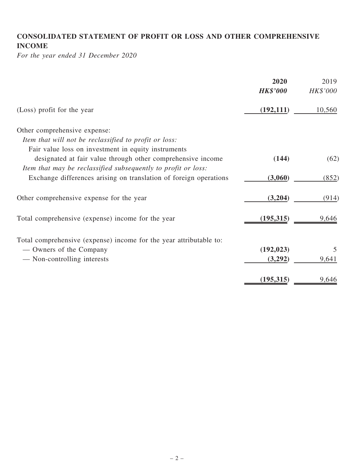## CONSOLIDATED STATEMENT OF PROFIT OR LOSS AND OTHER COMPREHENSIVE INCOME

For the year ended 31 December 2020

|                                                                                                                                                                                     | 2020<br><b>HK\$'000</b> | 2019<br>HK\$'000 |
|-------------------------------------------------------------------------------------------------------------------------------------------------------------------------------------|-------------------------|------------------|
| (Loss) profit for the year                                                                                                                                                          | (192, 111)              | 10,560           |
| Other comprehensive expense:                                                                                                                                                        |                         |                  |
| Item that will not be reclassified to profit or loss:                                                                                                                               |                         |                  |
| Fair value loss on investment in equity instruments<br>designated at fair value through other comprehensive income<br>Item that may be reclassified subsequently to profit or loss: | (144)                   | (62)             |
| Exchange differences arising on translation of foreign operations                                                                                                                   | (3,060)                 | (852)            |
| Other comprehensive expense for the year                                                                                                                                            | (3,204)                 | (914)            |
| Total comprehensive (expense) income for the year                                                                                                                                   | (195, 315)              | 9,646            |
| Total comprehensive (expense) income for the year attributable to:                                                                                                                  |                         |                  |
| — Owners of the Company                                                                                                                                                             | (192, 023)              | 5                |
| — Non-controlling interests                                                                                                                                                         | (3,292)                 | 9,641            |
|                                                                                                                                                                                     | (195, 315)              | 9,646            |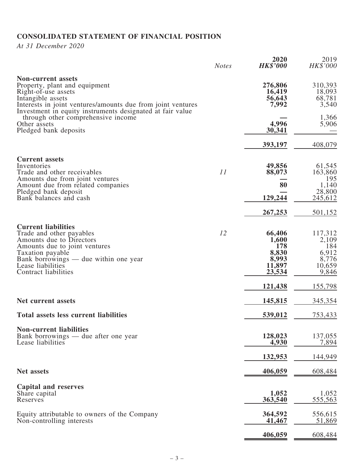# CONSOLIDATED STATEMENT OF FINANCIAL POSITION

At 31 December 2020

|                                                                                                                                                                                                                                    | <b>Notes</b> | 2020<br><b>HK\$'000</b>                                      | 2019<br>HK\$'000                                             |
|------------------------------------------------------------------------------------------------------------------------------------------------------------------------------------------------------------------------------------|--------------|--------------------------------------------------------------|--------------------------------------------------------------|
| <b>Non-current assets</b><br>Property, plant and equipment<br>Right-of-use assets<br>Intangible assets<br>Interests in joint ventures/amounts due from joint ventures<br>Investment in equity instruments designated at fair value |              | 276,806<br>16,419<br>56,643<br>7,992                         | 310,393<br>18,093<br>68,781<br>3,540                         |
| through other comprehensive income<br>Other assets<br>Pledged bank deposits                                                                                                                                                        |              | 4,996<br>30,341                                              | 1,366<br>5,906                                               |
|                                                                                                                                                                                                                                    |              | 393,197                                                      | 408,079                                                      |
| <b>Current assets</b><br>Inventories<br>Trade and other receivables<br>Amounts due from joint ventures<br>Amount due from related companies                                                                                        | 11           | 49,856<br>88,073<br>80                                       | 61,545<br>163,860<br>195<br>1,140                            |
| Pledged bank deposit<br>Bank balances and cash                                                                                                                                                                                     |              | 129,244                                                      | 28,800<br>245,612                                            |
|                                                                                                                                                                                                                                    |              | 267,253                                                      | 501,152                                                      |
| <b>Current liabilities</b><br>Trade and other payables<br>Amounts due to Directors<br>Amounts due to joint ventures<br>Taxation payable<br>Bank borrowings — due within one year<br>Lease liabilities<br>Contract liabilities      | 12           | 66,406<br>1,600<br>178<br>8,830<br>8,993<br>11,897<br>23,534 | 117,312<br>2,109<br>184<br>6,912<br>8,776<br>10,659<br>9,846 |
|                                                                                                                                                                                                                                    |              | 121,438                                                      | 155,798                                                      |
| Net current assets                                                                                                                                                                                                                 |              | 145,815                                                      | 345,354                                                      |
| <b>Total assets less current liabilities</b>                                                                                                                                                                                       |              | 539,012                                                      | 753,433                                                      |
| <b>Non-current liabilities</b><br>Bank borrowings — due after one year<br>Lease liabilities                                                                                                                                        |              | 128,023<br>4,930                                             | 137,055<br>7,894                                             |
|                                                                                                                                                                                                                                    |              | 132,953                                                      | 144,949                                                      |
| <b>Net assets</b>                                                                                                                                                                                                                  |              | 406,059                                                      | 608,484                                                      |
| <b>Capital and reserves</b><br>Share capital<br>Reserves                                                                                                                                                                           |              | 1,052<br>363,540                                             | 1,052<br>555,563                                             |
| Equity attributable to owners of the Company<br>Non-controlling interests                                                                                                                                                          |              | 364,592<br>41,467                                            | 556,615<br>51,869                                            |
|                                                                                                                                                                                                                                    |              | 406,059                                                      | 608,484                                                      |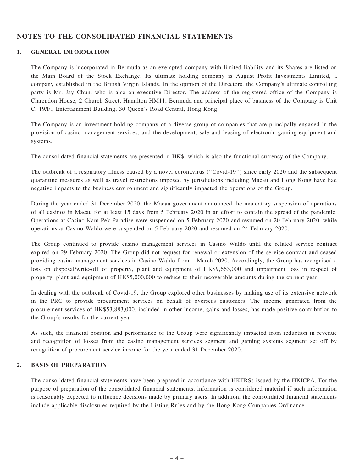#### NOTES TO THE CONSOLIDATED FINANCIAL STATEMENTS

#### 1. GENERAL INFORMATION

The Company is incorporated in Bermuda as an exempted company with limited liability and its Shares are listed on the Main Board of the Stock Exchange. Its ultimate holding company is August Profit Investments Limited, a company established in the British Virgin Islands. In the opinion of the Directors, the Company's ultimate controlling party is Mr. Jay Chun, who is also an executive Director. The address of the registered office of the Company is Clarendon House, 2 Church Street, Hamilton HM11, Bermuda and principal place of business of the Company is Unit C, 19/F., Entertainment Building, 30 Queen's Road Central, Hong Kong.

The Company is an investment holding company of a diverse group of companies that are principally engaged in the provision of casino management services, and the development, sale and leasing of electronic gaming equipment and systems.

The consolidated financial statements are presented in HK\$, which is also the functional currency of the Company.

The outbreak of a respiratory illness caused by a novel coronavirus (''Covid-19'') since early 2020 and the subsequent quarantine measures as well as travel restrictions imposed by jurisdictions including Macau and Hong Kong have had negative impacts to the business environment and significantly impacted the operations of the Group.

During the year ended 31 December 2020, the Macau government announced the mandatory suspension of operations of all casinos in Macau for at least 15 days from 5 February 2020 in an effort to contain the spread of the pandemic. Operations at Casino Kam Pek Paradise were suspended on 5 February 2020 and resumed on 20 February 2020, while operations at Casino Waldo were suspended on 5 February 2020 and resumed on 24 February 2020.

The Group continued to provide casino management services in Casino Waldo until the related service contract expired on 29 February 2020. The Group did not request for renewal or extension of the service contract and ceased providing casino management services in Casino Waldo from 1 March 2020. Accordingly, the Group has recognised a loss on disposal/write-off of property, plant and equipment of HK\$9,663,000 and impairment loss in respect of property, plant and equipment of HK\$5,000,000 to reduce to their recoverable amounts during the current year.

In dealing with the outbreak of Covid-19, the Group explored other businesses by making use of its extensive network in the PRC to provide procurement services on behalf of overseas customers. The income generated from the procurement services of HK\$53,883,000, included in other income, gains and losses, has made positive contribution to the Group's results for the current year.

As such, the financial position and performance of the Group were significantly impacted from reduction in revenue and recognition of losses from the casino management services segment and gaming systems segment set off by recognition of procurement service income for the year ended 31 December 2020.

#### 2. BASIS OF PREPARATION

The consolidated financial statements have been prepared in accordance with HKFRSs issued by the HKICPA. For the purpose of preparation of the consolidated financial statements, information is considered material if such information is reasonably expected to influence decisions made by primary users. In addition, the consolidated financial statements include applicable disclosures required by the Listing Rules and by the Hong Kong Companies Ordinance.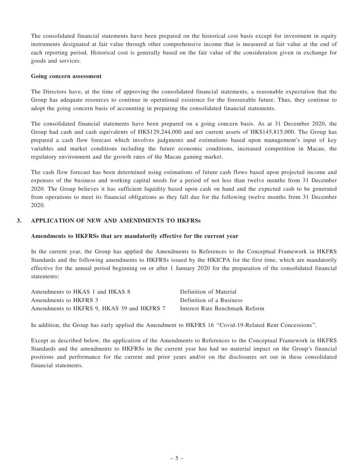The consolidated financial statements have been prepared on the historical cost basis except for investment in equity instruments designated at fair value through other comprehensive income that is measured at fair value at the end of each reporting period. Historical cost is generally based on the fair value of the consideration given in exchange for goods and services.

#### Going concern assessment

The Directors have, at the time of approving the consolidated financial statements, a reasonable expectation that the Group has adequate resources to continue in operational existence for the foreseeable future. Thus, they continue to adopt the going concern basis of accounting in preparing the consolidated financial statements.

The consolidated financial statements have been prepared on a going concern basis. As at 31 December 2020, the Group had cash and cash equivalents of HK\$129,244,000 and net current assets of HK\$145,815,000. The Group has prepared a cash flow forecast which involves judgments and estimations based upon management's input of key variables and market conditions including the future economic conditions, increased competition in Macau, the regulatory environment and the growth rates of the Macau gaming market.

The cash flow forecast has been determined using estimations of future cash flows based upon projected income and expenses of the business and working capital needs for a period of not less than twelve months from 31 December 2020. The Group believes it has sufficient liquidity based upon cash on hand and the expected cash to be generated from operations to meet its financial obligations as they fall due for the following twelve months from 31 December 2020.

#### 3. APPLICATION OF NEW AND AMENDMENTS TO HKFRSs

#### Amendments to HKFRSs that are mandatorily effective for the current year

In the current year, the Group has applied the Amendments to References to the Conceptual Framework in HKFRS Standards and the following amendments to HKFRSs issued by the HKICPA for the first time, which are mandatorily effective for the annual period beginning on or after 1 January 2020 for the preparation of the consolidated financial statements:

| Amendments to HKAS 1 and HKAS 8            | Definition of Material         |
|--------------------------------------------|--------------------------------|
| Amendments to HKFRS 3                      | Definition of a Business       |
| Amendments to HKFRS 9, HKAS 39 and HKFRS 7 | Interest Rate Benchmark Reform |

In addition, the Group has early applied the Amendment to HKFRS 16 "Covid-19-Related Rent Concessions".

Except as described below, the application of the Amendments to References to the Conceptual Framework in HKFRS Standards and the amendments to HKFRSs in the current year has had no material impact on the Group's financial positions and performance for the current and prior years and/or on the disclosures set out in these consolidated financial statements.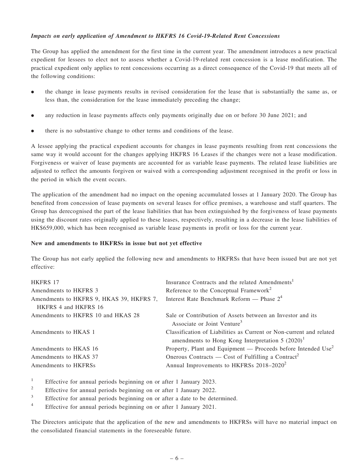#### Impacts on early application of Amendment to HKFRS 16 Covid-19-Related Rent Concessions

The Group has applied the amendment for the first time in the current year. The amendment introduces a new practical expedient for lessees to elect not to assess whether a Covid-19-related rent concession is a lease modification. The practical expedient only applies to rent concessions occurring as a direct consequence of the Covid-19 that meets all of the following conditions:

- . the change in lease payments results in revised consideration for the lease that is substantially the same as, or less than, the consideration for the lease immediately preceding the change;
- . any reduction in lease payments affects only payments originally due on or before 30 June 2021; and
- . there is no substantive change to other terms and conditions of the lease.

A lessee applying the practical expedient accounts for changes in lease payments resulting from rent concessions the same way it would account for the changes applying HKFRS 16 Leases if the changes were not a lease modification. Forgiveness or waiver of lease payments are accounted for as variable lease payments. The related lease liabilities are adjusted to reflect the amounts forgiven or waived with a corresponding adjustment recognised in the profit or loss in the period in which the event occurs.

The application of the amendment had no impact on the opening accumulated losses at 1 January 2020. The Group has benefited from concession of lease payments on several leases for office premises, a warehouse and staff quarters. The Group has derecognised the part of the lease liabilities that has been extinguished by the forgiveness of lease payments using the discount rates originally applied to these leases, respectively, resulting in a decrease in the lease liabilities of HK\$659,000, which has been recognised as variable lease payments in profit or loss for the current year.

#### New and amendments to HKFRSs in issue but not yet effective

The Group has not early applied the following new and amendments to HKFRSs that have been issued but are not yet effective:

| HKFRS 17                                 | Insurance Contracts and the related Amendments <sup>1</sup>                                                                |
|------------------------------------------|----------------------------------------------------------------------------------------------------------------------------|
| Amendments to HKFRS 3                    | Reference to the Conceptual Framework <sup>2</sup>                                                                         |
| Amendments to HKFRS 9, HKAS 39, HKFRS 7, | Interest Rate Benchmark Reform — Phase $24$                                                                                |
| HKFRS 4 and HKFRS 16                     |                                                                                                                            |
| Amendments to HKFRS 10 and HKAS 28       | Sale or Contribution of Assets between an Investor and its<br>Associate or Joint Venture <sup>3</sup>                      |
| Amendments to HKAS 1                     | Classification of Liabilities as Current or Non-current and related<br>amendments to Hong Kong Interpretation 5 $(2020)^1$ |
| Amendments to HKAS 16                    | Property, Plant and Equipment — Proceeds before Intended $Use2$                                                            |
| Amendments to HKAS 37                    | Onerous Contracts — Cost of Fulfilling a Contract <sup>2</sup>                                                             |
| Amendments to HKFRSs                     | Annual Improvements to HKFRSs 2018–2020 <sup>2</sup>                                                                       |

<sup>1</sup> Effective for annual periods beginning on or after 1 January 2023.

- <sup>2</sup> Effective for annual periods beginning on or after 1 January 2022.
- <sup>3</sup> Effective for annual periods beginning on or after a date to be determined.
- <sup>4</sup> Effective for annual periods beginning on or after 1 January 2021.

The Directors anticipate that the application of the new and amendments to HKFRSs will have no material impact on the consolidated financial statements in the foreseeable future.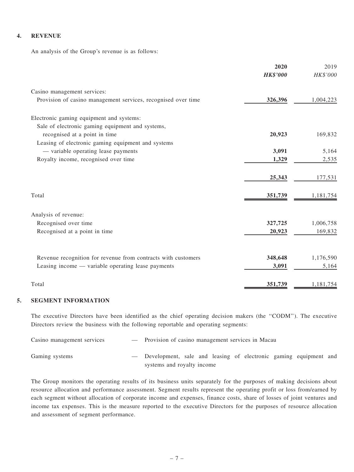#### 4. REVENUE

An analysis of the Group's revenue is as follows:

|                                                               | 2020            | 2019      |
|---------------------------------------------------------------|-----------------|-----------|
|                                                               | <b>HK\$'000</b> | HK\$'000  |
| Casino management services:                                   |                 |           |
| Provision of casino management services, recognised over time | 326,396         | 1,004,223 |
| Electronic gaming equipment and systems:                      |                 |           |
| Sale of electronic gaming equipment and systems,              |                 |           |
| recognised at a point in time                                 | 20,923          | 169,832   |
| Leasing of electronic gaming equipment and systems            |                 |           |
| - variable operating lease payments                           | 3,091           | 5,164     |
| Royalty income, recognised over time                          | 1,329           | 2,535     |
|                                                               | 25,343          | 177,531   |
| Total                                                         | 351,739         | 1,181,754 |
| Analysis of revenue:                                          |                 |           |
| Recognised over time                                          | 327,725         | 1,006,758 |
| Recognised at a point in time                                 | 20,923          | 169,832   |
|                                                               |                 |           |
| Revenue recognition for revenue from contracts with customers | 348,648         | 1,176,590 |
| Leasing income — variable operating lease payments            | 3,091           | 5,164     |
| Total                                                         | 351,739         | 1,181,754 |

#### 5. SEGMENT INFORMATION

The executive Directors have been identified as the chief operating decision makers (the ''CODM''). The executive Directors review the business with the following reportable and operating segments:

| Casino management services | - Provision of casino management services in Macau                 |
|----------------------------|--------------------------------------------------------------------|
| Gaming systems             | - Development, sale and leasing of electronic gaming equipment and |
|                            | systems and royalty income                                         |

The Group monitors the operating results of its business units separately for the purposes of making decisions about resource allocation and performance assessment. Segment results represent the operating profit or loss from/earned by each segment without allocation of corporate income and expenses, finance costs, share of losses of joint ventures and income tax expenses. This is the measure reported to the executive Directors for the purposes of resource allocation and assessment of segment performance.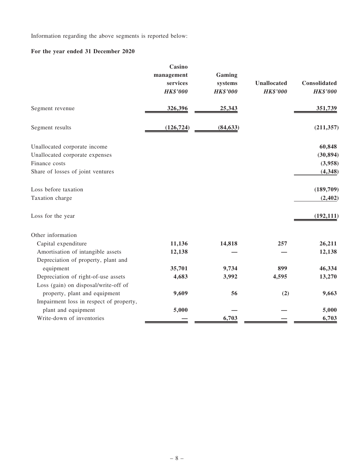Information regarding the above segments is reported below:

# For the year ended 31 December 2020

|                                         | Casino<br>management<br>services<br><b>HK\$'000</b> | Gaming<br>systems<br><b>HK\$'000</b> | <b>Unallocated</b><br><b>HK\$'000</b> | Consolidated<br><b>HK\$'000</b> |
|-----------------------------------------|-----------------------------------------------------|--------------------------------------|---------------------------------------|---------------------------------|
| Segment revenue                         | 326,396                                             | 25,343                               |                                       | 351,739                         |
| Segment results                         | (126, 724)                                          | (84, 633)                            |                                       | (211, 357)                      |
| Unallocated corporate income            |                                                     |                                      |                                       | 60,848                          |
| Unallocated corporate expenses          |                                                     |                                      |                                       | (30, 894)                       |
| Finance costs                           |                                                     |                                      |                                       | (3,958)                         |
| Share of losses of joint ventures       |                                                     |                                      |                                       | (4, 348)                        |
| Loss before taxation                    |                                                     |                                      |                                       | (189,709)                       |
| Taxation charge                         |                                                     |                                      |                                       | (2, 402)                        |
| Loss for the year                       |                                                     |                                      |                                       | (192, 111)                      |
| Other information                       |                                                     |                                      |                                       |                                 |
| Capital expenditure                     | 11,136                                              | 14,818                               | 257                                   | 26,211                          |
| Amortisation of intangible assets       | 12,138                                              |                                      |                                       | 12,138                          |
| Depreciation of property, plant and     |                                                     |                                      |                                       |                                 |
| equipment                               | 35,701                                              | 9,734                                | 899                                   | 46,334                          |
| Depreciation of right-of-use assets     | 4,683                                               | 3,992                                | 4,595                                 | 13,270                          |
| Loss (gain) on disposal/write-off of    |                                                     |                                      |                                       |                                 |
| property, plant and equipment           | 9,609                                               | 56                                   | (2)                                   | 9,663                           |
| Impairment loss in respect of property, |                                                     |                                      |                                       |                                 |
| plant and equipment                     | 5,000                                               |                                      |                                       | 5,000                           |
| Write-down of inventories               |                                                     | 6,703                                |                                       | 6,703                           |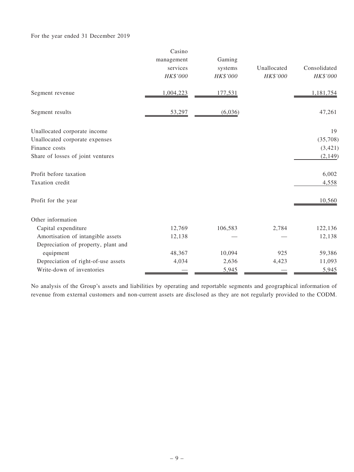#### For the year ended 31 December 2019

|                                     | Casino<br>management<br>services<br>HK\$'000 | Gaming<br>systems<br>HK\$'000 | Unallocated<br>HK\$'000 | Consolidated<br>HK\$'000 |
|-------------------------------------|----------------------------------------------|-------------------------------|-------------------------|--------------------------|
| Segment revenue                     | 1,004,223                                    | 177,531                       |                         | 1,181,754                |
| Segment results                     | 53,297                                       | (6,036)                       |                         | 47,261                   |
| Unallocated corporate income        |                                              |                               |                         | 19                       |
| Unallocated corporate expenses      |                                              |                               |                         | (35,708)                 |
| Finance costs                       |                                              |                               |                         | (3,421)                  |
| Share of losses of joint ventures   |                                              |                               |                         | (2,149)                  |
| Profit before taxation              |                                              |                               |                         | 6,002                    |
| Taxation credit                     |                                              |                               |                         | 4,558                    |
| Profit for the year                 |                                              |                               |                         | 10,560                   |
| Other information                   |                                              |                               |                         |                          |
| Capital expenditure                 | 12,769                                       | 106,583                       | 2,784                   | 122,136                  |
| Amortisation of intangible assets   | 12,138                                       |                               |                         | 12,138                   |
| Depreciation of property, plant and |                                              |                               |                         |                          |
| equipment                           | 48,367                                       | 10,094                        | 925                     | 59,386                   |
| Depreciation of right-of-use assets | 4,034                                        | 2,636                         | 4,423                   | 11,093                   |
| Write-down of inventories           |                                              | 5,945                         |                         | 5,945                    |

No analysis of the Group's assets and liabilities by operating and reportable segments and geographical information of revenue from external customers and non-current assets are disclosed as they are not regularly provided to the CODM.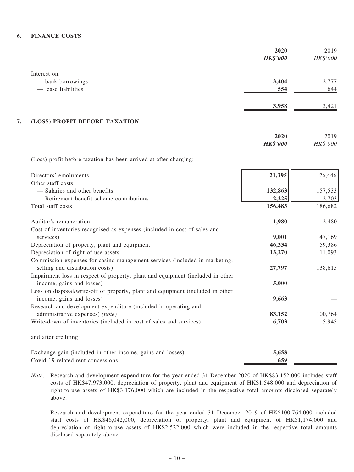#### 6. FINANCE COSTS

| Interest on:<br>- bank borrowings<br>3,404<br>2,777<br>- lease liabilities<br>554<br>644<br>3,958<br>3,421<br>7.<br>(LOSS) PROFIT BEFORE TAXATION<br>2020<br>2019<br><b>HK\$'000</b><br>HK\$'000<br>(Loss) profit before taxation has been arrived at after charging:<br>21,395<br>26,446<br>Directors' emoluments<br>Other staff costs<br>- Salaries and other benefits<br>132,863<br>157,533<br>- Retirement benefit scheme contributions<br>2,225<br>2,703<br>Total staff costs<br>156,483<br>186,682<br>Auditor's remuneration<br>1,980<br>2,480<br>Cost of inventories recognised as expenses (included in cost of sales and<br>9,001<br>47,169<br>services)<br>46,334<br>Depreciation of property, plant and equipment<br>59,386<br>Depreciation of right-of-use assets<br>13,270<br>11,093<br>Commission expenses for casino management services (included in marketing,<br>selling and distribution costs)<br>138,615<br>27,797<br>Impairment loss in respect of property, plant and equipment (included in other<br>income, gains and losses)<br>5,000<br>Loss on disposal/write-off of property, plant and equipment (included in other<br>income, gains and losses)<br>9,663<br>Research and development expenditure (included in operating and<br>administrative expenses) (note)<br>83,152<br>100,764<br>Write-down of inventories (included in cost of sales and services)<br>6,703<br>5,945<br>and after crediting:<br>Exchange gain (included in other income, gains and losses)<br>5,658 |                                   | 2020            | 2019     |
|-----------------------------------------------------------------------------------------------------------------------------------------------------------------------------------------------------------------------------------------------------------------------------------------------------------------------------------------------------------------------------------------------------------------------------------------------------------------------------------------------------------------------------------------------------------------------------------------------------------------------------------------------------------------------------------------------------------------------------------------------------------------------------------------------------------------------------------------------------------------------------------------------------------------------------------------------------------------------------------------------------------------------------------------------------------------------------------------------------------------------------------------------------------------------------------------------------------------------------------------------------------------------------------------------------------------------------------------------------------------------------------------------------------------------------------------------------------------------------------------------------------|-----------------------------------|-----------------|----------|
|                                                                                                                                                                                                                                                                                                                                                                                                                                                                                                                                                                                                                                                                                                                                                                                                                                                                                                                                                                                                                                                                                                                                                                                                                                                                                                                                                                                                                                                                                                           |                                   | <b>HK\$'000</b> | HK\$'000 |
|                                                                                                                                                                                                                                                                                                                                                                                                                                                                                                                                                                                                                                                                                                                                                                                                                                                                                                                                                                                                                                                                                                                                                                                                                                                                                                                                                                                                                                                                                                           |                                   |                 |          |
|                                                                                                                                                                                                                                                                                                                                                                                                                                                                                                                                                                                                                                                                                                                                                                                                                                                                                                                                                                                                                                                                                                                                                                                                                                                                                                                                                                                                                                                                                                           |                                   |                 |          |
|                                                                                                                                                                                                                                                                                                                                                                                                                                                                                                                                                                                                                                                                                                                                                                                                                                                                                                                                                                                                                                                                                                                                                                                                                                                                                                                                                                                                                                                                                                           |                                   |                 |          |
|                                                                                                                                                                                                                                                                                                                                                                                                                                                                                                                                                                                                                                                                                                                                                                                                                                                                                                                                                                                                                                                                                                                                                                                                                                                                                                                                                                                                                                                                                                           |                                   |                 |          |
|                                                                                                                                                                                                                                                                                                                                                                                                                                                                                                                                                                                                                                                                                                                                                                                                                                                                                                                                                                                                                                                                                                                                                                                                                                                                                                                                                                                                                                                                                                           |                                   |                 |          |
|                                                                                                                                                                                                                                                                                                                                                                                                                                                                                                                                                                                                                                                                                                                                                                                                                                                                                                                                                                                                                                                                                                                                                                                                                                                                                                                                                                                                                                                                                                           |                                   |                 |          |
|                                                                                                                                                                                                                                                                                                                                                                                                                                                                                                                                                                                                                                                                                                                                                                                                                                                                                                                                                                                                                                                                                                                                                                                                                                                                                                                                                                                                                                                                                                           |                                   |                 |          |
|                                                                                                                                                                                                                                                                                                                                                                                                                                                                                                                                                                                                                                                                                                                                                                                                                                                                                                                                                                                                                                                                                                                                                                                                                                                                                                                                                                                                                                                                                                           |                                   |                 |          |
|                                                                                                                                                                                                                                                                                                                                                                                                                                                                                                                                                                                                                                                                                                                                                                                                                                                                                                                                                                                                                                                                                                                                                                                                                                                                                                                                                                                                                                                                                                           |                                   |                 |          |
|                                                                                                                                                                                                                                                                                                                                                                                                                                                                                                                                                                                                                                                                                                                                                                                                                                                                                                                                                                                                                                                                                                                                                                                                                                                                                                                                                                                                                                                                                                           |                                   |                 |          |
|                                                                                                                                                                                                                                                                                                                                                                                                                                                                                                                                                                                                                                                                                                                                                                                                                                                                                                                                                                                                                                                                                                                                                                                                                                                                                                                                                                                                                                                                                                           |                                   |                 |          |
|                                                                                                                                                                                                                                                                                                                                                                                                                                                                                                                                                                                                                                                                                                                                                                                                                                                                                                                                                                                                                                                                                                                                                                                                                                                                                                                                                                                                                                                                                                           |                                   |                 |          |
|                                                                                                                                                                                                                                                                                                                                                                                                                                                                                                                                                                                                                                                                                                                                                                                                                                                                                                                                                                                                                                                                                                                                                                                                                                                                                                                                                                                                                                                                                                           |                                   |                 |          |
|                                                                                                                                                                                                                                                                                                                                                                                                                                                                                                                                                                                                                                                                                                                                                                                                                                                                                                                                                                                                                                                                                                                                                                                                                                                                                                                                                                                                                                                                                                           |                                   |                 |          |
|                                                                                                                                                                                                                                                                                                                                                                                                                                                                                                                                                                                                                                                                                                                                                                                                                                                                                                                                                                                                                                                                                                                                                                                                                                                                                                                                                                                                                                                                                                           |                                   |                 |          |
|                                                                                                                                                                                                                                                                                                                                                                                                                                                                                                                                                                                                                                                                                                                                                                                                                                                                                                                                                                                                                                                                                                                                                                                                                                                                                                                                                                                                                                                                                                           |                                   |                 |          |
|                                                                                                                                                                                                                                                                                                                                                                                                                                                                                                                                                                                                                                                                                                                                                                                                                                                                                                                                                                                                                                                                                                                                                                                                                                                                                                                                                                                                                                                                                                           |                                   |                 |          |
|                                                                                                                                                                                                                                                                                                                                                                                                                                                                                                                                                                                                                                                                                                                                                                                                                                                                                                                                                                                                                                                                                                                                                                                                                                                                                                                                                                                                                                                                                                           |                                   |                 |          |
|                                                                                                                                                                                                                                                                                                                                                                                                                                                                                                                                                                                                                                                                                                                                                                                                                                                                                                                                                                                                                                                                                                                                                                                                                                                                                                                                                                                                                                                                                                           |                                   |                 |          |
|                                                                                                                                                                                                                                                                                                                                                                                                                                                                                                                                                                                                                                                                                                                                                                                                                                                                                                                                                                                                                                                                                                                                                                                                                                                                                                                                                                                                                                                                                                           |                                   |                 |          |
|                                                                                                                                                                                                                                                                                                                                                                                                                                                                                                                                                                                                                                                                                                                                                                                                                                                                                                                                                                                                                                                                                                                                                                                                                                                                                                                                                                                                                                                                                                           |                                   |                 |          |
|                                                                                                                                                                                                                                                                                                                                                                                                                                                                                                                                                                                                                                                                                                                                                                                                                                                                                                                                                                                                                                                                                                                                                                                                                                                                                                                                                                                                                                                                                                           |                                   |                 |          |
|                                                                                                                                                                                                                                                                                                                                                                                                                                                                                                                                                                                                                                                                                                                                                                                                                                                                                                                                                                                                                                                                                                                                                                                                                                                                                                                                                                                                                                                                                                           |                                   |                 |          |
|                                                                                                                                                                                                                                                                                                                                                                                                                                                                                                                                                                                                                                                                                                                                                                                                                                                                                                                                                                                                                                                                                                                                                                                                                                                                                                                                                                                                                                                                                                           |                                   |                 |          |
|                                                                                                                                                                                                                                                                                                                                                                                                                                                                                                                                                                                                                                                                                                                                                                                                                                                                                                                                                                                                                                                                                                                                                                                                                                                                                                                                                                                                                                                                                                           |                                   |                 |          |
|                                                                                                                                                                                                                                                                                                                                                                                                                                                                                                                                                                                                                                                                                                                                                                                                                                                                                                                                                                                                                                                                                                                                                                                                                                                                                                                                                                                                                                                                                                           |                                   |                 |          |
|                                                                                                                                                                                                                                                                                                                                                                                                                                                                                                                                                                                                                                                                                                                                                                                                                                                                                                                                                                                                                                                                                                                                                                                                                                                                                                                                                                                                                                                                                                           |                                   |                 |          |
|                                                                                                                                                                                                                                                                                                                                                                                                                                                                                                                                                                                                                                                                                                                                                                                                                                                                                                                                                                                                                                                                                                                                                                                                                                                                                                                                                                                                                                                                                                           |                                   |                 |          |
|                                                                                                                                                                                                                                                                                                                                                                                                                                                                                                                                                                                                                                                                                                                                                                                                                                                                                                                                                                                                                                                                                                                                                                                                                                                                                                                                                                                                                                                                                                           | Covid-19-related rent concessions | 659             |          |

Note: Research and development expenditure for the year ended 31 December 2020 of HK\$83,152,000 includes staff costs of HK\$47,973,000, depreciation of property, plant and equipment of HK\$1,548,000 and depreciation of right-to-use assets of HK\$3,176,000 which are included in the respective total amounts disclosed separately above.

Research and development expenditure for the year ended 31 December 2019 of HK\$100,764,000 included staff costs of HK\$46,042,000, depreciation of property, plant and equipment of HK\$1,174,000 and depreciation of right-to-use assets of HK\$2,522,000 which were included in the respective total amounts disclosed separately above.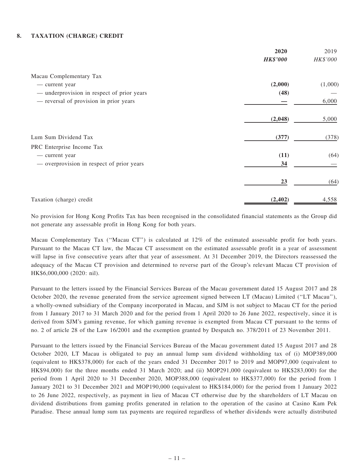#### 8. TAXATION (CHARGE) CREDIT

|                                            | 2020            | 2019     |
|--------------------------------------------|-----------------|----------|
|                                            | <b>HK\$'000</b> | HK\$'000 |
| Macau Complementary Tax                    |                 |          |
| - current year                             | (2,000)         | (1,000)  |
| — underprovision in respect of prior years | (48)            |          |
| - reversal of provision in prior years     |                 | 6,000    |
|                                            | (2,048)         | 5,000    |
| Lum Sum Dividend Tax                       | (377)           | (378)    |
| PRC Enterprise Income Tax                  |                 |          |
| - current year                             | (11)            | (64)     |
| - overprovision in respect of prior years  | 34              |          |
|                                            | 23              | (64)     |
| Taxation (charge) credit                   | (2, 402)        | 4,558    |

No provision for Hong Kong Profits Tax has been recognised in the consolidated financial statements as the Group did not generate any assessable profit in Hong Kong for both years.

Macau Complementary Tax (''Macau CT'') is calculated at 12% of the estimated assessable profit for both years. Pursuant to the Macau CT law, the Macau CT assessment on the estimated assessable profit in a year of assessment will lapse in five consecutive years after that year of assessment. At 31 December 2019, the Directors reassessed the adequacy of the Macau CT provision and determined to reverse part of the Group's relevant Macau CT provision of HK\$6,000,000 (2020: nil).

Pursuant to the letters issued by the Financial Services Bureau of the Macau government dated 15 August 2017 and 28 October 2020, the revenue generated from the service agreement signed between LT (Macau) Limited (''LT Macau''), a wholly-owned subsidiary of the Company incorporated in Macau, and SJM is not subject to Macau CT for the period from 1 January 2017 to 31 March 2020 and for the period from 1 April 2020 to 26 June 2022, respectively, since it is derived from SJM's gaming revenue, for which gaming revenue is exempted from Macau CT pursuant to the terms of no. 2 of article 28 of the Law 16/2001 and the exemption granted by Despatch no. 378/2011 of 23 November 2011.

Pursuant to the letters issued by the Financial Services Bureau of the Macau government dated 15 August 2017 and 28 October 2020, LT Macau is obligated to pay an annual lump sum dividend withholding tax of (i) MOP389,000 (equivalent to HK\$378,000) for each of the years ended 31 December 2017 to 2019 and MOP97,000 (equivalent to HK\$94,000) for the three months ended 31 March 2020; and (ii) MOP291,000 (equivalent to HK\$283,000) for the period from 1 April 2020 to 31 December 2020, MOP388,000 (equivalent to HK\$377,000) for the period from 1 January 2021 to 31 December 2021 and MOP190,000 (equivalent to HK\$184,000) for the period from 1 January 2022 to 26 June 2022, respectively, as payment in lieu of Macau CT otherwise due by the shareholders of LT Macau on dividend distributions from gaming profits generated in relation to the operation of the casino at Casino Kam Pek Paradise. These annual lump sum tax payments are required regardless of whether dividends were actually distributed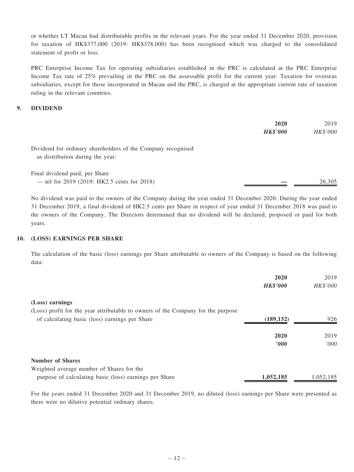or whether LT Macau had distributable profits in the relevant years. For the year ended 31 December 2020, provision for taxation of HK\$377,000 (2019: HK\$378,000) has been recognised which was charged to the consolidated statement of profit or loss.

PRC Enterprise Income Tax for operating subsidiaries established in the PRC is calculated at the PRC Enterprise Income Tax rate of 25% prevailing in the PRC on the assessable profit for the current year. Taxation for overseas subsidiaries, except for those incorporated in Macau and the PRC, is charged at the appropriate current rate of taxation ruling in the relevant countries.

#### 9. DIVIDEND

|                                                                                                  | 2020            | 2019     |
|--------------------------------------------------------------------------------------------------|-----------------|----------|
|                                                                                                  | <b>HK\$'000</b> | HK\$'000 |
| Dividend for ordinary shareholders of the Company recognised<br>as distribution during the year: |                 |          |
| Final dividend paid, per Share                                                                   |                 |          |
| - nil for 2019 (2019: HK2.5 cents for 2018)                                                      |                 | 26,305   |

No dividend was paid to the owners of the Company during the year ended 31 December 2020. During the year ended 31 December 2019, a final dividend of HK2.5 cents per Share in respect of year ended 31 December 2018 was paid to the owners of the Company. The Directors determined that no dividend will be declared, proposed or paid for both years.

#### 10. (LOSS) EARNINGS PER SHARE

The calculation of the basic (loss) earnings per Share attributable to owners of the Company is based on the following data:

|                                                                                  | 2020            | 2019      |
|----------------------------------------------------------------------------------|-----------------|-----------|
|                                                                                  | <b>HK\$'000</b> | HK\$'000  |
| (Loss) earnings                                                                  |                 |           |
| (Loss) profit for the year attributable to owners of the Company for the purpose |                 |           |
| of calculating basic (loss) earnings per Share                                   | (189, 152)      | 926       |
|                                                                                  | 2020            | 2019      |
|                                                                                  | $\bm{v}$        | '000      |
| <b>Number of Shares</b>                                                          |                 |           |
| Weighted average number of Shares for the                                        |                 |           |
| purpose of calculating basic (loss) earnings per Share                           | 1,052,185       | 1,052,185 |

For the years ended 31 December 2020 and 31 December 2019, no diluted (loss) earnings per Share were presented as there were no dilutive potential ordinary shares.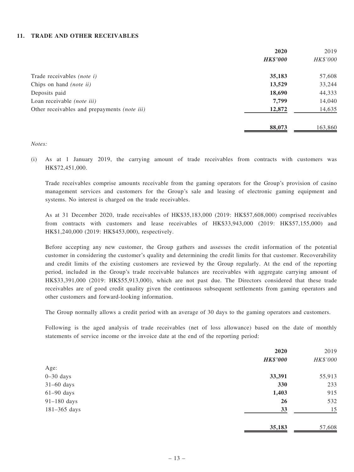#### 11. TRADE AND OTHER RECEIVABLES

|                                                     | 2020            | 2019     |
|-----------------------------------------------------|-----------------|----------|
|                                                     | <b>HK\$'000</b> | HK\$'000 |
| Trade receivables (note i)                          | 35,183          | 57,608   |
| Chips on hand (note ii)                             | 13,529          | 33,244   |
| Deposits paid                                       | 18,690          | 44,333   |
| Loan receivable (note iii)                          | 7,799           | 14,040   |
| Other receivables and prepayments <i>(note iii)</i> | 12,872          | 14,635   |
|                                                     | 88,073          | 163,860  |

#### Notes:

(i) As at 1 January 2019, the carrying amount of trade receivables from contracts with customers was HK\$72,451,000.

Trade receivables comprise amounts receivable from the gaming operators for the Group's provision of casino management services and customers for the Group's sale and leasing of electronic gaming equipment and systems. No interest is charged on the trade receivables.

As at 31 December 2020, trade receivables of HK\$35,183,000 (2019: HK\$57,608,000) comprised receivables from contracts with customers and lease receivables of HK\$33,943,000 (2019: HK\$57,155,000) and HK\$1,240,000 (2019: HK\$453,000), respectively.

Before accepting any new customer, the Group gathers and assesses the credit information of the potential customer in considering the customer's quality and determining the credit limits for that customer. Recoverability and credit limits of the existing customers are reviewed by the Group regularly. At the end of the reporting period, included in the Group's trade receivable balances are receivables with aggregate carrying amount of HK\$33,391,000 (2019: HK\$55,913,000), which are not past due. The Directors considered that these trade receivables are of good credit quality given the continuous subsequent settlements from gaming operators and other customers and forward-looking information.

The Group normally allows a credit period with an average of 30 days to the gaming operators and customers.

Following is the aged analysis of trade receivables (net of loss allowance) based on the date of monthly statements of service income or the invoice date at the end of the reporting period:

|                  | 2020            | 2019     |
|------------------|-----------------|----------|
|                  | <b>HK\$'000</b> | HK\$'000 |
| Age:             |                 |          |
| $0-30$ days      | 33,391          | 55,913   |
| $31-60$ days     | 330             | 233      |
| $61-90$ days     | 1,403           | 915      |
| $91-180$ days    | <b>26</b>       | 532      |
| $181 - 365$ days | 33              | 15       |
|                  | 35,183          | 57,608   |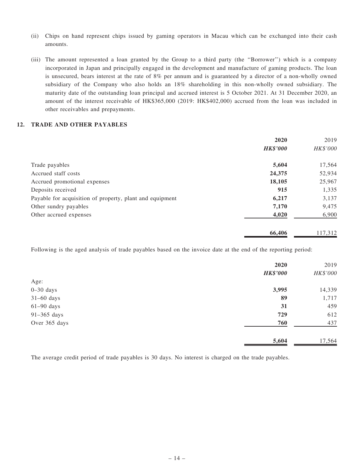- (ii) Chips on hand represent chips issued by gaming operators in Macau which can be exchanged into their cash amounts.
- (iii) The amount represented a loan granted by the Group to a third party (the ''Borrower'') which is a company incorporated in Japan and principally engaged in the development and manufacture of gaming products. The loan is unsecured, bears interest at the rate of 8% per annum and is guaranteed by a director of a non-wholly owned subsidiary of the Company who also holds an 18% shareholding in this non-wholly owned subsidiary. The maturity date of the outstanding loan principal and accrued interest is 5 October 2021. At 31 December 2020, an amount of the interest receivable of HK\$365,000 (2019: HK\$402,000) accrued from the loan was included in other receivables and prepayments.

#### 12. TRADE AND OTHER PAYABLES

|                                                          | 2020            | 2019     |
|----------------------------------------------------------|-----------------|----------|
|                                                          | <b>HK\$'000</b> | HK\$'000 |
| Trade payables                                           | 5,604           | 17,564   |
| Accrued staff costs                                      | 24,375          | 52,934   |
| Accrued promotional expenses                             | 18,105          | 25,967   |
| Deposits received                                        | 915             | 1,335    |
| Payable for acquisition of property, plant and equipment | 6,217           | 3,137    |
| Other sundry payables                                    | 7,170           | 9,475    |
| Other accrued expenses                                   | 4,020           | 6,900    |
|                                                          | 66,406          | 117,312  |

Following is the aged analysis of trade payables based on the invoice date at the end of the reporting period:

|               | 2020            | 2019     |
|---------------|-----------------|----------|
|               | <b>HK\$'000</b> | HK\$'000 |
| Age:          |                 |          |
| $0 - 30$ days | 3,995           | 14,339   |
| $31-60$ days  | 89              | 1,717    |
| $61-90$ days  | 31              | 459      |
| $91-365$ days | 729             | 612      |
| Over 365 days | 760             | 437      |
|               | 5,604           | 17,564   |

The average credit period of trade payables is 30 days. No interest is charged on the trade payables.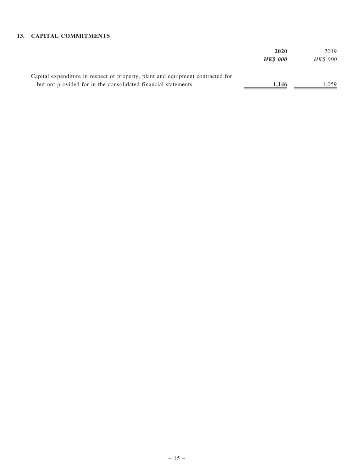#### 13. CAPITAL COMMITMENTS

|                                                                                | 2020            | 2019            |
|--------------------------------------------------------------------------------|-----------------|-----------------|
|                                                                                | <b>HK\$'000</b> | <i>HK\$'000</i> |
|                                                                                |                 |                 |
| Capital expenditure in respect of property, plant and equipment contracted for |                 |                 |
| but not provided for in the consolidated financial statements                  | 1.146           | 1.059           |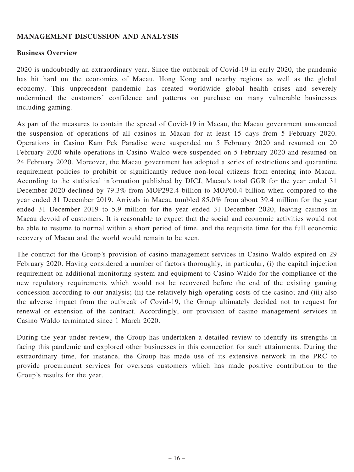#### MANAGEMENT DISCUSSION AND ANALYSIS

#### Business Overview

2020 is undoubtedly an extraordinary year. Since the outbreak of Covid-19 in early 2020, the pandemic has hit hard on the economies of Macau, Hong Kong and nearby regions as well as the global economy. This unprecedent pandemic has created worldwide global health crises and severely undermined the customers' confidence and patterns on purchase on many vulnerable businesses including gaming.

As part of the measures to contain the spread of Covid-19 in Macau, the Macau government announced the suspension of operations of all casinos in Macau for at least 15 days from 5 February 2020. Operations in Casino Kam Pek Paradise were suspended on 5 February 2020 and resumed on 20 February 2020 while operations in Casino Waldo were suspended on 5 February 2020 and resumed on 24 February 2020. Moreover, the Macau government has adopted a series of restrictions and quarantine requirement policies to prohibit or significantly reduce non-local citizens from entering into Macau. According to the statistical information published by DICJ, Macau's total GGR for the year ended 31 December 2020 declined by 79.3% from MOP292.4 billion to MOP60.4 billion when compared to the year ended 31 December 2019. Arrivals in Macau tumbled 85.0% from about 39.4 million for the year ended 31 December 2019 to 5.9 million for the year ended 31 December 2020, leaving casinos in Macau devoid of customers. It is reasonable to expect that the social and economic activities would not be able to resume to normal within a short period of time, and the requisite time for the full economic recovery of Macau and the world would remain to be seen.

The contract for the Group's provision of casino management services in Casino Waldo expired on 29 February 2020. Having considered a number of factors thoroughly, in particular, (i) the capital injection requirement on additional monitoring system and equipment to Casino Waldo for the compliance of the new regulatory requirements which would not be recovered before the end of the existing gaming concession according to our analysis; (ii) the relatively high operating costs of the casino; and (iii) also the adverse impact from the outbreak of Covid-19, the Group ultimately decided not to request for renewal or extension of the contract. Accordingly, our provision of casino management services in Casino Waldo terminated since 1 March 2020.

During the year under review, the Group has undertaken a detailed review to identify its strengths in facing this pandemic and explored other businesses in this connection for such attainments. During the extraordinary time, for instance, the Group has made use of its extensive network in the PRC to provide procurement services for overseas customers which has made positive contribution to the Group's results for the year.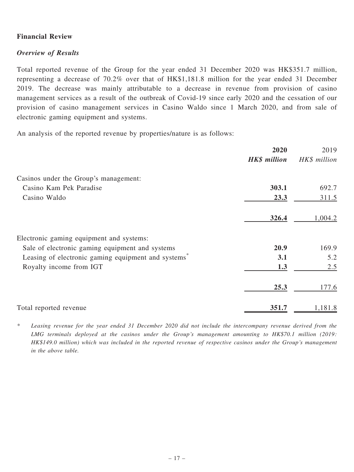### Financial Review

### Overview of Results

Total reported revenue of the Group for the year ended 31 December 2020 was HK\$351.7 million, representing a decrease of 70.2% over that of HK\$1,181.8 million for the year ended 31 December 2019. The decrease was mainly attributable to a decrease in revenue from provision of casino management services as a result of the outbreak of Covid-19 since early 2020 and the cessation of our provision of casino management services in Casino Waldo since 1 March 2020, and from sale of electronic gaming equipment and systems.

An analysis of the reported revenue by properties/nature is as follows:

|                                                     | 2020                | 2019         |
|-----------------------------------------------------|---------------------|--------------|
|                                                     | <b>HK\$</b> million | HK\$ million |
| Casinos under the Group's management:               |                     |              |
| Casino Kam Pek Paradise                             | 303.1               | 692.7        |
| Casino Waldo                                        | 23.3                | 311.5        |
|                                                     | 326.4               | 1,004.2      |
| Electronic gaming equipment and systems:            |                     |              |
| Sale of electronic gaming equipment and systems     | 20.9                | 169.9        |
| Leasing of electronic gaming equipment and systems* | 3.1                 | 5.2          |
| Royalty income from IGT                             | 1.3                 | 2.5          |
|                                                     | 25.3                | 177.6        |
| Total reported revenue                              | 351.7               | 1,181.8      |

\* Leasing revenue for the year ended 31 December 2020 did not include the intercompany revenue derived from the LMG terminals deployed at the casinos under the Group's management amounting to HK\$70.1 million (2019: HK\$149.0 million) which was included in the reported revenue of respective casinos under the Group's management in the above table.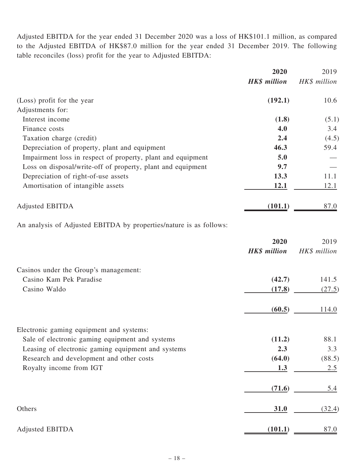Adjusted EBITDA for the year ended 31 December 2020 was a loss of HK\$101.1 million, as compared to the Adjusted EBITDA of HK\$87.0 million for the year ended 31 December 2019. The following table reconciles (loss) profit for the year to Adjusted EBITDA:

|                                                             | 2020                | 2019         |
|-------------------------------------------------------------|---------------------|--------------|
|                                                             | <b>HK\$</b> million | HK\$ million |
| (Loss) profit for the year                                  | (192.1)             | 10.6         |
| Adjustments for:                                            |                     |              |
| Interest income                                             | (1.8)               | (5.1)        |
| Finance costs                                               | 4.0                 | 3.4          |
| Taxation charge (credit)                                    | 2.4                 | (4.5)        |
| Depreciation of property, plant and equipment               | 46.3                | 59.4         |
| Impairment loss in respect of property, plant and equipment | 5.0                 |              |
| Loss on disposal/write-off of property, plant and equipment | 9.7                 |              |
| Depreciation of right-of-use assets                         | 13.3                | 11.1         |
| Amortisation of intangible assets                           | 12.1                | 12.1         |
| <b>Adjusted EBITDA</b>                                      | (101.1)             | 87.0         |

An analysis of Adjusted EBITDA by properties/nature is as follows:

|                                                    | 2020<br><b>HK\$</b> million | 2019<br>HK\$ million |
|----------------------------------------------------|-----------------------------|----------------------|
| Casinos under the Group's management:              |                             |                      |
| Casino Kam Pek Paradise                            | (42.7)                      | 141.5                |
| Casino Waldo                                       | (17.8)                      | (27.5)               |
|                                                    | (60.5)                      | 114.0                |
| Electronic gaming equipment and systems:           |                             |                      |
| Sale of electronic gaming equipment and systems    | (11.2)                      | 88.1                 |
| Leasing of electronic gaming equipment and systems | 2.3                         | 3.3                  |
| Research and development and other costs           | (64.0)                      | (88.5)               |
| Royalty income from IGT                            | 1.3                         | 2.5                  |
|                                                    | (71.6)                      | 5.4                  |
| Others                                             | 31.0                        | (32.4)               |
| Adjusted EBITDA                                    | (101.1)                     | 87.0                 |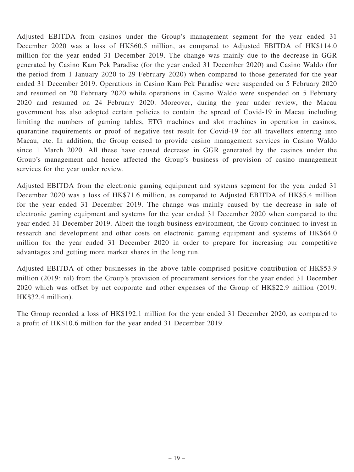Adjusted EBITDA from casinos under the Group's management segment for the year ended 31 December 2020 was a loss of HK\$60.5 million, as compared to Adjusted EBITDA of HK\$114.0 million for the year ended 31 December 2019. The change was mainly due to the decrease in GGR generated by Casino Kam Pek Paradise (for the year ended 31 December 2020) and Casino Waldo (for the period from 1 January 2020 to 29 February 2020) when compared to those generated for the year ended 31 December 2019. Operations in Casino Kam Pek Paradise were suspended on 5 February 2020 and resumed on 20 February 2020 while operations in Casino Waldo were suspended on 5 February 2020 and resumed on 24 February 2020. Moreover, during the year under review, the Macau government has also adopted certain policies to contain the spread of Covid-19 in Macau including limiting the numbers of gaming tables, ETG machines and slot machines in operation in casinos, quarantine requirements or proof of negative test result for Covid-19 for all travellers entering into Macau, etc. In addition, the Group ceased to provide casino management services in Casino Waldo since 1 March 2020. All these have caused decrease in GGR generated by the casinos under the Group's management and hence affected the Group's business of provision of casino management services for the year under review.

Adjusted EBITDA from the electronic gaming equipment and systems segment for the year ended 31 December 2020 was a loss of HK\$71.6 million, as compared to Adjusted EBITDA of HK\$5.4 million for the year ended 31 December 2019. The change was mainly caused by the decrease in sale of electronic gaming equipment and systems for the year ended 31 December 2020 when compared to the year ended 31 December 2019. Albeit the tough business environment, the Group continued to invest in research and development and other costs on electronic gaming equipment and systems of HK\$64.0 million for the year ended 31 December 2020 in order to prepare for increasing our competitive advantages and getting more market shares in the long run.

Adjusted EBITDA of other businesses in the above table comprised positive contribution of HK\$53.9 million (2019: nil) from the Group's provision of procurement services for the year ended 31 December 2020 which was offset by net corporate and other expenses of the Group of HK\$22.9 million (2019: HK\$32.4 million).

The Group recorded a loss of HK\$192.1 million for the year ended 31 December 2020, as compared to a profit of HK\$10.6 million for the year ended 31 December 2019.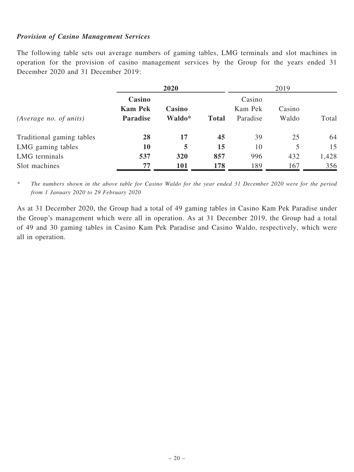#### Provision of Casino Management Services

The following table sets out average numbers of gaming tables, LMG terminals and slot machines in operation for the provision of casino management services by the Group for the years ended 31 December 2020 and 31 December 2019:

|                           |                                             | 2020             |              |                               | 2019            |       |
|---------------------------|---------------------------------------------|------------------|--------------|-------------------------------|-----------------|-------|
| (Average no. of units)    | Casino<br><b>Kam Pek</b><br><b>Paradise</b> | Casino<br>Waldo* | <b>Total</b> | Casino<br>Kam Pek<br>Paradise | Casino<br>Waldo | Total |
| Traditional gaming tables | 28                                          | 17               | 45           | 39                            | 25              | 64    |
| LMG gaming tables         | 10                                          | 5                | 15           | 10                            | 5               | 15    |
| LMG terminals             | 537                                         | 320              | 857          | 996                           | 432             | 1,428 |
| Slot machines             | 77                                          | 101              | 178          | 189                           | 167             | 356   |

\* The numbers shown in the above table for Casino Waldo for the year ended 31 December 2020 were for the period from 1 January 2020 to 29 February 2020

As at 31 December 2020, the Group had a total of 49 gaming tables in Casino Kam Pek Paradise under the Group's management which were all in operation. As at 31 December 2019, the Group had a total of 49 and 30 gaming tables in Casino Kam Pek Paradise and Casino Waldo, respectively, which were all in operation.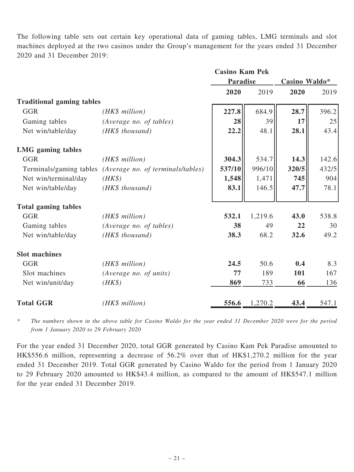The following table sets out certain key operational data of gaming tables, LMG terminals and slot machines deployed at the two casinos under the Group's management for the years ended 31 December 2020 and 31 December 2019:

|                                  |                                                           | <b>Casino Kam Pek</b> |         |               |       |
|----------------------------------|-----------------------------------------------------------|-----------------------|---------|---------------|-------|
|                                  |                                                           | <b>Paradise</b>       |         | Casino Waldo* |       |
|                                  |                                                           | 2020                  | 2019    | 2020          | 2019  |
| <b>Traditional gaming tables</b> |                                                           |                       |         |               |       |
| <b>GGR</b>                       | (HK\$ million)                                            | 227.8                 | 684.9   | 28.7          | 396.2 |
| Gaming tables                    | (Average no. of tables)                                   | 28                    | 39      | 17            | 25    |
| Net win/table/day                | (HK\$ thousand)                                           | 22.2                  | 48.1    | 28.1          | 43.4  |
| <b>LMG</b> gaming tables         |                                                           |                       |         |               |       |
| <b>GGR</b>                       | (HK\$ million)                                            | 304.3                 | 534.7   | 14.3          | 142.6 |
|                                  | Terminals/gaming tables (Average no. of terminals/tables) | 537/10                | 996/10  | 320/5         | 432/5 |
| Net win/terminal/day             | $(HK\$                                                    | 1,548                 | 1,471   | 745           | 904   |
| Net win/table/day                | (HK\$ thousand)                                           | 83.1                  | 146.5   | 47.7          | 78.1  |
| <b>Total gaming tables</b>       |                                                           |                       |         |               |       |
| <b>GGR</b>                       | (HK\$ million)                                            | 532.1                 | 1,219.6 | 43.0          | 538.8 |
| Gaming tables                    | (Average no. of tables)                                   | 38                    | 49      | 22            | 30    |
| Net win/table/day                | (HK\$ thousand)                                           | 38.3                  | 68.2    | 32.6          | 49.2  |
| <b>Slot machines</b>             |                                                           |                       |         |               |       |
| <b>GGR</b>                       | (HK\$ million)                                            | 24.5                  | 50.6    | 0.4           | 8.3   |
| Slot machines                    | (Average no. of units)                                    | 77                    | 189     | 101           | 167   |
| Net win/unit/day                 | $(HK\$                                                    | 869                   | 733     | 66            | 136   |
| <b>Total GGR</b>                 | (HK\$ million)                                            | 556.6                 | 1,270.2 | 43.4          | 547.1 |

\* The numbers shown in the above table for Casino Waldo for the year ended 31 December 2020 were for the period from 1 January 2020 to 29 February 2020

For the year ended 31 December 2020, total GGR generated by Casino Kam Pek Paradise amounted to HK\$556.6 million, representing a decrease of 56.2% over that of HK\$1,270.2 million for the year ended 31 December 2019. Total GGR generated by Casino Waldo for the period from 1 January 2020 to 29 February 2020 amounted to HK\$43.4 million, as compared to the amount of HK\$547.1 million for the year ended 31 December 2019.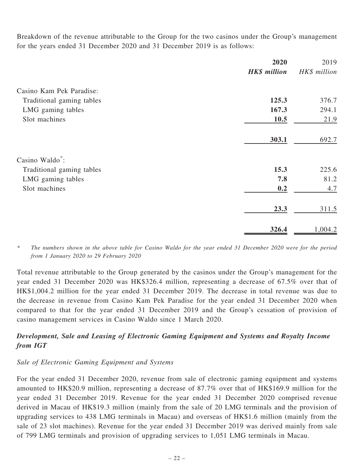Breakdown of the revenue attributable to the Group for the two casinos under the Group's management for the years ended 31 December 2020 and 31 December 2019 is as follows:

|                             | 2020                | 2019         |
|-----------------------------|---------------------|--------------|
|                             | <b>HK\$</b> million | HK\$ million |
| Casino Kam Pek Paradise:    |                     |              |
| Traditional gaming tables   | 125.3               | 376.7        |
| LMG gaming tables           | 167.3               | 294.1        |
| Slot machines               | 10.5                | 21.9         |
|                             |                     |              |
|                             | 303.1               | 692.7        |
| Casino Waldo <sup>*</sup> : |                     |              |
| Traditional gaming tables   | 15.3                | 225.6        |
| LMG gaming tables           | 7.8                 | 81.2         |
| Slot machines               | 0.2                 | 4.7          |
|                             | 23.3                | 311.5        |
|                             | 326.4               | 1,004.2      |

The numbers shown in the above table for Casino Waldo for the year ended 31 December 2020 were for the period from 1 January 2020 to 29 February 2020

Total revenue attributable to the Group generated by the casinos under the Group's management for the year ended 31 December 2020 was HK\$326.4 million, representing a decrease of 67.5% over that of HK\$1,004.2 million for the year ended 31 December 2019. The decrease in total revenue was due to the decrease in revenue from Casino Kam Pek Paradise for the year ended 31 December 2020 when compared to that for the year ended 31 December 2019 and the Group's cessation of provision of casino management services in Casino Waldo since 1 March 2020.

# Development, Sale and Leasing of Electronic Gaming Equipment and Systems and Royalty Income from IGT

### Sale of Electronic Gaming Equipment and Systems

For the year ended 31 December 2020, revenue from sale of electronic gaming equipment and systems amounted to HK\$20.9 million, representing a decrease of 87.7% over that of HK\$169.9 million for the year ended 31 December 2019. Revenue for the year ended 31 December 2020 comprised revenue derived in Macau of HK\$19.3 million (mainly from the sale of 20 LMG terminals and the provision of upgrading services to 438 LMG terminals in Macau) and overseas of HK\$1.6 million (mainly from the sale of 23 slot machines). Revenue for the year ended 31 December 2019 was derived mainly from sale of 799 LMG terminals and provision of upgrading services to 1,051 LMG terminals in Macau.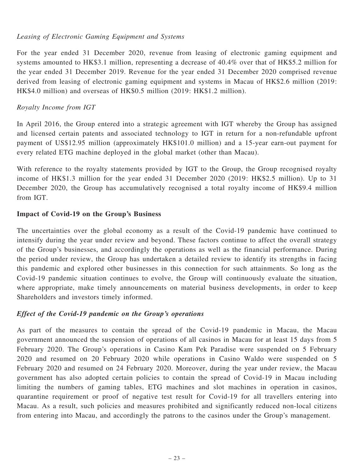### Leasing of Electronic Gaming Equipment and Systems

For the year ended 31 December 2020, revenue from leasing of electronic gaming equipment and systems amounted to HK\$3.1 million, representing a decrease of 40.4% over that of HK\$5.2 million for the year ended 31 December 2019. Revenue for the year ended 31 December 2020 comprised revenue derived from leasing of electronic gaming equipment and systems in Macau of HK\$2.6 million (2019: HK\$4.0 million) and overseas of HK\$0.5 million (2019: HK\$1.2 million).

## Royalty Income from IGT

In April 2016, the Group entered into a strategic agreement with IGT whereby the Group has assigned and licensed certain patents and associated technology to IGT in return for a non-refundable upfront payment of US\$12.95 million (approximately HK\$101.0 million) and a 15-year earn-out payment for every related ETG machine deployed in the global market (other than Macau).

With reference to the royalty statements provided by IGT to the Group, the Group recognised royalty income of HK\$1.3 million for the year ended 31 December 2020 (2019: HK\$2.5 million). Up to 31 December 2020, the Group has accumulatively recognised a total royalty income of HK\$9.4 million from IGT.

## Impact of Covid-19 on the Group's Business

The uncertainties over the global economy as a result of the Covid-19 pandemic have continued to intensify during the year under review and beyond. These factors continue to affect the overall strategy of the Group's businesses, and accordingly the operations as well as the financial performance. During the period under review, the Group has undertaken a detailed review to identify its strengths in facing this pandemic and explored other businesses in this connection for such attainments. So long as the Covid-19 pandemic situation continues to evolve, the Group will continuously evaluate the situation, where appropriate, make timely announcements on material business developments, in order to keep Shareholders and investors timely informed.

## Effect of the Covid-19 pandemic on the Group's operations

As part of the measures to contain the spread of the Covid-19 pandemic in Macau, the Macau government announced the suspension of operations of all casinos in Macau for at least 15 days from 5 February 2020. The Group's operations in Casino Kam Pek Paradise were suspended on 5 February 2020 and resumed on 20 February 2020 while operations in Casino Waldo were suspended on 5 February 2020 and resumed on 24 February 2020. Moreover, during the year under review, the Macau government has also adopted certain policies to contain the spread of Covid-19 in Macau including limiting the numbers of gaming tables, ETG machines and slot machines in operation in casinos, quarantine requirement or proof of negative test result for Covid-19 for all travellers entering into Macau. As a result, such policies and measures prohibited and significantly reduced non-local citizens from entering into Macau, and accordingly the patrons to the casinos under the Group's management.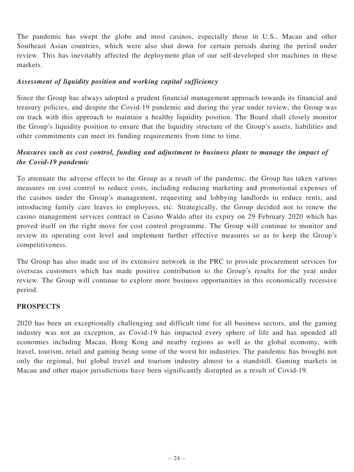The pandemic has swept the globe and most casinos, especially those in U.S., Macau and other Southeast Asian countries, which were also shut down for certain periods during the period under review. This has inevitably affected the deployment plan of our self-developed slot machines in these markets.

### Assessment of liquidity position and working capital sufficiency

Since the Group has always adopted a prudent financial management approach towards its financial and treasury policies, and despite the Covid-19 pandemic and during the year under review, the Group was on track with this approach to maintain a healthy liquidity position. The Board shall closely monitor the Group's liquidity position to ensure that the liquidity structure of the Group's assets, liabilities and other commitments can meet its funding requirements from time to time.

# Measures such as cost control, funding and adjustment to business plans to manage the impact of the Covid-19 pandemic

To attenuate the adverse effects to the Group as a result of the pandemic, the Group has taken various measures on cost control to reduce costs, including reducing marketing and promotional expenses of the casinos under the Group's management, requesting and lobbying landlords to reduce rents, and introducing family care leaves to employees, etc. Strategically, the Group decided not to renew the casino management services contract in Casino Waldo after its expiry on 29 February 2020 which has proved itself on the right move for cost control programme. The Group will continue to monitor and review its operating cost level and implement further effective measures so as to keep the Group's competitiveness.

The Group has also made use of its extensive network in the PRC to provide procurement services for overseas customers which has made positive contribution to the Group's results for the year under review. The Group will continue to explore more business opportunities in this economically recessive period.

## PROSPECTS

2020 has been an exceptionally challenging and difficult time for all business sectors, and the gaming industry was not an exception, as Covid-19 has impacted every sphere of life and has upended all economies including Macau, Hong Kong and nearby regions as well as the global economy, with travel, tourism, retail and gaming being some of the worst hit industries. The pandemic has brought not only the regional, but global travel and tourism industry almost to a standstill. Gaming markets in Macau and other major jurisdictions have been significantly disrupted as a result of Covid-19.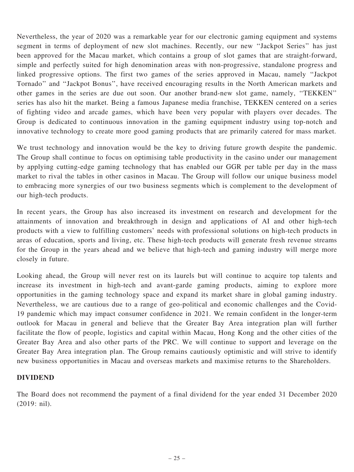Nevertheless, the year of 2020 was a remarkable year for our electronic gaming equipment and systems segment in terms of deployment of new slot machines. Recently, our new ''Jackpot Series'' has just been approved for the Macau market, which contains a group of slot games that are straight-forward, simple and perfectly suited for high denomination areas with non-progressive, standalone progress and linked progressive options. The first two games of the series approved in Macau, namely ''Jackpot Tornado'' and ''Jackpot Bonus'', have received encouraging results in the North American markets and other games in the series are due out soon. Our another brand-new slot game, namely, ''TEKKEN'' series has also hit the market. Being a famous Japanese media franchise, TEKKEN centered on a series of fighting video and arcade games, which have been very popular with players over decades. The Group is dedicated to continuous innovation in the gaming equipment industry using top-notch and innovative technology to create more good gaming products that are primarily catered for mass market.

We trust technology and innovation would be the key to driving future growth despite the pandemic. The Group shall continue to focus on optimising table productivity in the casino under our management by applying cutting-edge gaming technology that has enabled our GGR per table per day in the mass market to rival the tables in other casinos in Macau. The Group will follow our unique business model to embracing more synergies of our two business segments which is complement to the development of our high-tech products.

In recent years, the Group has also increased its investment on research and development for the attainments of innovation and breakthrough in design and applications of AI and other high-tech products with a view to fulfilling customers' needs with professional solutions on high-tech products in areas of education, sports and living, etc. These high-tech products will generate fresh revenue streams for the Group in the years ahead and we believe that high-tech and gaming industry will merge more closely in future.

Looking ahead, the Group will never rest on its laurels but will continue to acquire top talents and increase its investment in high-tech and avant-garde gaming products, aiming to explore more opportunities in the gaming technology space and expand its market share in global gaming industry. Nevertheless, we are cautious due to a range of geo-political and economic challenges and the Covid-19 pandemic which may impact consumer confidence in 2021. We remain confident in the longer-term outlook for Macau in general and believe that the Greater Bay Area integration plan will further facilitate the flow of people, logistics and capital within Macau, Hong Kong and the other cities of the Greater Bay Area and also other parts of the PRC. We will continue to support and leverage on the Greater Bay Area integration plan. The Group remains cautiously optimistic and will strive to identify new business opportunities in Macau and overseas markets and maximise returns to the Shareholders.

### DIVIDEND

The Board does not recommend the payment of a final dividend for the year ended 31 December 2020 (2019: nil).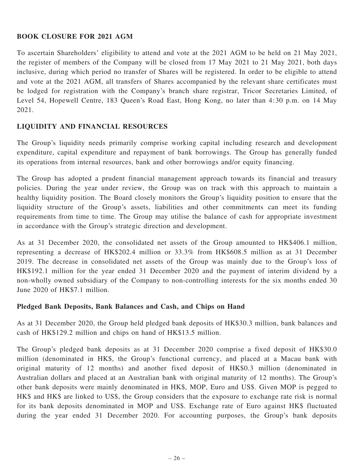### BOOK CLOSURE FOR 2021 AGM

To ascertain Shareholders' eligibility to attend and vote at the 2021 AGM to be held on 21 May 2021, the register of members of the Company will be closed from 17 May 2021 to 21 May 2021, both days inclusive, during which period no transfer of Shares will be registered. In order to be eligible to attend and vote at the 2021 AGM, all transfers of Shares accompanied by the relevant share certificates must be lodged for registration with the Company's branch share registrar, Tricor Secretaries Limited, of Level 54, Hopewell Centre, 183 Queen's Road East, Hong Kong, no later than 4:30 p.m. on 14 May 2021.

## LIQUIDITY AND FINANCIAL RESOURCES

The Group's liquidity needs primarily comprise working capital including research and development expenditure, capital expenditure and repayment of bank borrowings. The Group has generally funded its operations from internal resources, bank and other borrowings and/or equity financing.

The Group has adopted a prudent financial management approach towards its financial and treasury policies. During the year under review, the Group was on track with this approach to maintain a healthy liquidity position. The Board closely monitors the Group's liquidity position to ensure that the liquidity structure of the Group's assets, liabilities and other commitments can meet its funding requirements from time to time. The Group may utilise the balance of cash for appropriate investment in accordance with the Group's strategic direction and development.

As at 31 December 2020, the consolidated net assets of the Group amounted to HK\$406.1 million, representing a decrease of HK\$202.4 million or 33.3% from HK\$608.5 million as at 31 December 2019. The decrease in consolidated net assets of the Group was mainly due to the Group's loss of HK\$192.1 million for the year ended 31 December 2020 and the payment of interim dividend by a non-wholly owned subsidiary of the Company to non-controlling interests for the six months ended 30 June 2020 of HK\$7.1 million.

### Pledged Bank Deposits, Bank Balances and Cash, and Chips on Hand

As at 31 December 2020, the Group held pledged bank deposits of HK\$30.3 million, bank balances and cash of HK\$129.2 million and chips on hand of HK\$13.5 million.

The Group's pledged bank deposits as at 31 December 2020 comprise a fixed deposit of HK\$30.0 million (denominated in HK\$, the Group's functional currency, and placed at a Macau bank with original maturity of 12 months) and another fixed deposit of HK\$0.3 million (denominated in Australian dollars and placed at an Australian bank with original maturity of 12 months). The Group's other bank deposits were mainly denominated in HK\$, MOP, Euro and US\$. Given MOP is pegged to HK\$ and HK\$ are linked to US\$, the Group considers that the exposure to exchange rate risk is normal for its bank deposits denominated in MOP and US\$. Exchange rate of Euro against HK\$ fluctuated during the year ended 31 December 2020. For accounting purposes, the Group's bank deposits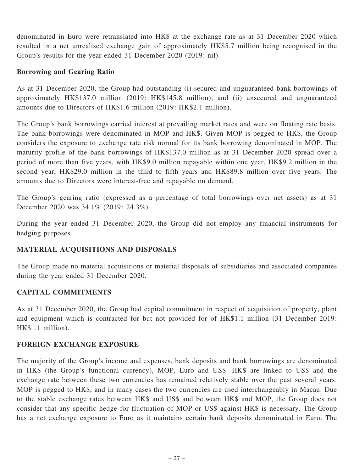denominated in Euro were retranslated into HK\$ at the exchange rate as at 31 December 2020 which resulted in a net unrealised exchange gain of approximately HK\$5.7 million being recognised in the Group's results for the year ended 31 December 2020 (2019: nil).

#### Borrowing and Gearing Ratio

As at 31 December 2020, the Group had outstanding (i) secured and unguaranteed bank borrowings of approximately HK\$137.0 million (2019: HK\$145.8 million); and (ii) unsecured and unguaranteed amounts due to Directors of HK\$1.6 million (2019: HK\$2.1 million).

The Group's bank borrowings carried interest at prevailing market rates and were on floating rate basis. The bank borrowings were denominated in MOP and HK\$. Given MOP is pegged to HK\$, the Group considers the exposure to exchange rate risk normal for its bank borrowing denominated in MOP. The maturity profile of the bank borrowings of HK\$137.0 million as at 31 December 2020 spread over a period of more than five years, with HK\$9.0 million repayable within one year, HK\$9.2 million in the second year, HK\$29.0 million in the third to fifth years and HK\$89.8 million over five years. The amounts due to Directors were interest-free and repayable on demand.

The Group's gearing ratio (expressed as a percentage of total borrowings over net assets) as at 31 December 2020 was 34.1% (2019: 24.3%).

During the year ended 31 December 2020, the Group did not employ any financial instruments for hedging purposes.

### MATERIAL ACQUISITIONS AND DISPOSALS

The Group made no material acquisitions or material disposals of subsidiaries and associated companies during the year ended 31 December 2020.

### CAPITAL COMMITMENTS

As at 31 December 2020, the Group had capital commitment in respect of acquisition of property, plant and equipment which is contracted for but not provided for of HK\$1.1 million (31 December 2019: HK\$1.1 million).

### FOREIGN EXCHANGE EXPOSURE

The majority of the Group's income and expenses, bank deposits and bank borrowings are denominated in HK\$ (the Group's functional currency), MOP, Euro and US\$. HK\$ are linked to US\$ and the exchange rate between these two currencies has remained relatively stable over the past several years. MOP is pegged to HK\$, and in many cases the two currencies are used interchangeably in Macau. Due to the stable exchange rates between HK\$ and US\$ and between HK\$ and MOP, the Group does not consider that any specific hedge for fluctuation of MOP or US\$ against HK\$ is necessary. The Group has a net exchange exposure to Euro as it maintains certain bank deposits denominated in Euro. The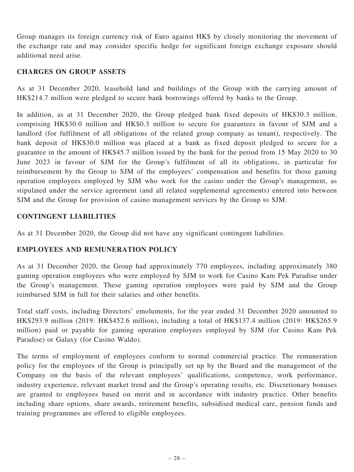Group manages its foreign currency risk of Euro against HK\$ by closely monitoring the movement of the exchange rate and may consider specific hedge for significant foreign exchange exposure should additional need arise.

#### CHARGES ON GROUP ASSETS

As at 31 December 2020, leasehold land and buildings of the Group with the carrying amount of HK\$214.7 million were pledged to secure bank borrowings offered by banks to the Group.

In addition, as at 31 December 2020, the Group pledged bank fixed deposits of HK\$30.3 million, comprising HK\$30.0 million and HK\$0.3 million to secure for guarantees in favour of SJM and a landlord (for fulfilment of all obligations of the related group company as tenant), respectively. The bank deposit of HK\$30.0 million was placed at a bank as fixed deposit pledged to secure for a guarantee in the amount of HK\$45.7 million issued by the bank for the period from 15 May 2020 to 30 June 2023 in favour of SJM for the Group's fulfilment of all its obligations, in particular for reimbursement by the Group to SJM of the employees' compensation and benefits for those gaming operation employees employed by SJM who work for the casino under the Group's management, as stipulated under the service agreement (and all related supplemental agreements) entered into between SJM and the Group for provision of casino management services by the Group to SJM.

#### CONTINGENT LIABILITIES

As at 31 December 2020, the Group did not have any significant contingent liabilities.

### EMPLOYEES AND REMUNERATION POLICY

As at 31 December 2020, the Group had approximately 770 employees, including approximately 380 gaming operation employees who were employed by SJM to work for Casino Kam Pek Paradise under the Group's management. These gaming operation employees were paid by SJM and the Group reimbursed SJM in full for their salaries and other benefits.

Total staff costs, including Directors' emoluments, for the year ended 31 December 2020 amounted to HK\$293.9 million (2019: HK\$452.6 million), including a total of HK\$137.4 million (2019: HK\$265.9 million) paid or payable for gaming operation employees employed by SJM (for Casino Kam Pek Paradise) or Galaxy (for Casino Waldo).

The terms of employment of employees conform to normal commercial practice. The remuneration policy for the employees of the Group is principally set up by the Board and the management of the Company on the basis of the relevant employees' qualifications, competence, work performance, industry experience, relevant market trend and the Group's operating results, etc. Discretionary bonuses are granted to employees based on merit and in accordance with industry practice. Other benefits including share options, share awards, retirement benefits, subsidised medical care, pension funds and training programmes are offered to eligible employees.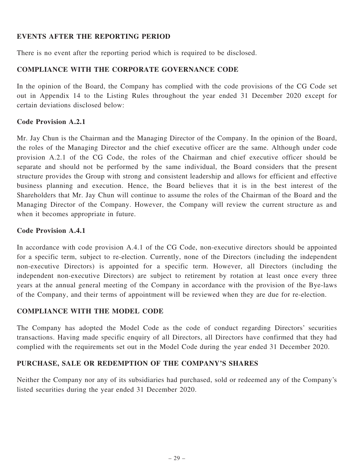## EVENTS AFTER THE REPORTING PERIOD

There is no event after the reporting period which is required to be disclosed.

## COMPLIANCE WITH THE CORPORATE GOVERNANCE CODE

In the opinion of the Board, the Company has complied with the code provisions of the CG Code set out in Appendix 14 to the Listing Rules throughout the year ended 31 December 2020 except for certain deviations disclosed below:

### Code Provision A.2.1

Mr. Jay Chun is the Chairman and the Managing Director of the Company. In the opinion of the Board, the roles of the Managing Director and the chief executive officer are the same. Although under code provision A.2.1 of the CG Code, the roles of the Chairman and chief executive officer should be separate and should not be performed by the same individual, the Board considers that the present structure provides the Group with strong and consistent leadership and allows for efficient and effective business planning and execution. Hence, the Board believes that it is in the best interest of the Shareholders that Mr. Jay Chun will continue to assume the roles of the Chairman of the Board and the Managing Director of the Company. However, the Company will review the current structure as and when it becomes appropriate in future.

### Code Provision A.4.1

In accordance with code provision A.4.1 of the CG Code, non-executive directors should be appointed for a specific term, subject to re-election. Currently, none of the Directors (including the independent non-executive Directors) is appointed for a specific term. However, all Directors (including the independent non-executive Directors) are subject to retirement by rotation at least once every three years at the annual general meeting of the Company in accordance with the provision of the Bye-laws of the Company, and their terms of appointment will be reviewed when they are due for re-election.

### COMPLIANCE WITH THE MODEL CODE

The Company has adopted the Model Code as the code of conduct regarding Directors' securities transactions. Having made specific enquiry of all Directors, all Directors have confirmed that they had complied with the requirements set out in the Model Code during the year ended 31 December 2020.

### PURCHASE, SALE OR REDEMPTION OF THE COMPANY'S SHARES

Neither the Company nor any of its subsidiaries had purchased, sold or redeemed any of the Company's listed securities during the year ended 31 December 2020.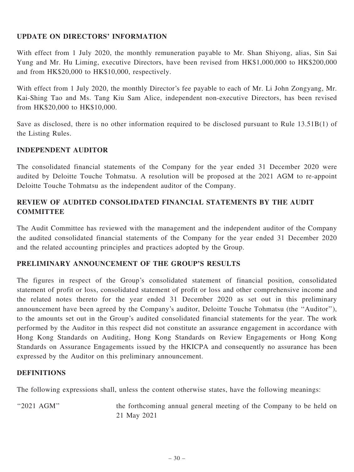## UPDATE ON DIRECTORS' INFORMATION

With effect from 1 July 2020, the monthly remuneration payable to Mr. Shan Shiyong, alias, Sin Sai Yung and Mr. Hu Liming, executive Directors, have been revised from HK\$1,000,000 to HK\$200,000 and from HK\$20,000 to HK\$10,000, respectively.

With effect from 1 July 2020, the monthly Director's fee payable to each of Mr. Li John Zongyang, Mr. Kai-Shing Tao and Ms. Tang Kiu Sam Alice, independent non-executive Directors, has been revised from HK\$20,000 to HK\$10,000.

Save as disclosed, there is no other information required to be disclosed pursuant to Rule 13.51B(1) of the Listing Rules.

### INDEPENDENT AUDITOR

The consolidated financial statements of the Company for the year ended 31 December 2020 were audited by Deloitte Touche Tohmatsu. A resolution will be proposed at the 2021 AGM to re-appoint Deloitte Touche Tohmatsu as the independent auditor of the Company.

## REVIEW OF AUDITED CONSOLIDATED FINANCIAL STATEMENTS BY THE AUDIT **COMMITTEE**

The Audit Committee has reviewed with the management and the independent auditor of the Company the audited consolidated financial statements of the Company for the year ended 31 December 2020 and the related accounting principles and practices adopted by the Group.

### PRELIMINARY ANNOUNCEMENT OF THE GROUP'S RESULTS

The figures in respect of the Group's consolidated statement of financial position, consolidated statement of profit or loss, consolidated statement of profit or loss and other comprehensive income and the related notes thereto for the year ended 31 December 2020 as set out in this preliminary announcement have been agreed by the Company's auditor, Deloitte Touche Tohmatsu (the ''Auditor''), to the amounts set out in the Group's audited consolidated financial statements for the year. The work performed by the Auditor in this respect did not constitute an assurance engagement in accordance with Hong Kong Standards on Auditing, Hong Kong Standards on Review Engagements or Hong Kong Standards on Assurance Engagements issued by the HKICPA and consequently no assurance has been expressed by the Auditor on this preliminary announcement.

#### **DEFINITIONS**

The following expressions shall, unless the content otherwise states, have the following meanings:

"2021 AGM" the forthcoming annual general meeting of the Company to be held on 21 May 2021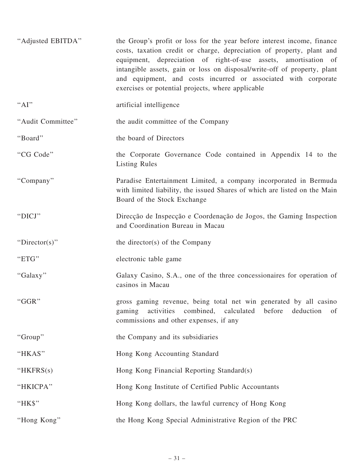| "Adjusted EBITDA" | the Group's profit or loss for the year before interest income, finance<br>costs, taxation credit or charge, depreciation of property, plant and<br>equipment, depreciation of right-of-use assets, amortisation of<br>intangible assets, gain or loss on disposal/write-off of property, plant<br>and equipment, and costs incurred or associated with corporate<br>exercises or potential projects, where applicable |
|-------------------|------------------------------------------------------------------------------------------------------------------------------------------------------------------------------------------------------------------------------------------------------------------------------------------------------------------------------------------------------------------------------------------------------------------------|
| "Al"              | artificial intelligence                                                                                                                                                                                                                                                                                                                                                                                                |
| "Audit Committee" | the audit committee of the Company                                                                                                                                                                                                                                                                                                                                                                                     |
| "Board"           | the board of Directors                                                                                                                                                                                                                                                                                                                                                                                                 |
| "CG Code"         | the Corporate Governance Code contained in Appendix 14 to the<br><b>Listing Rules</b>                                                                                                                                                                                                                                                                                                                                  |
| "Company"         | Paradise Entertainment Limited, a company incorporated in Bermuda<br>with limited liability, the issued Shares of which are listed on the Main<br>Board of the Stock Exchange                                                                                                                                                                                                                                          |
| "DICJ"            | Direcção de Inspecção e Coordenação de Jogos, the Gaming Inspection<br>and Coordination Bureau in Macau                                                                                                                                                                                                                                                                                                                |
| "Director(s)"     | the director(s) of the Company                                                                                                                                                                                                                                                                                                                                                                                         |
| "ETG"             | electronic table game                                                                                                                                                                                                                                                                                                                                                                                                  |
| "Galaxy"          | Galaxy Casino, S.A., one of the three concessionaires for operation of<br>casinos in Macau                                                                                                                                                                                                                                                                                                                             |
| "GGR"             | gross gaming revenue, being total net win generated by all casino<br>activities combined, calculated before<br>deduction<br>gaming<br>of<br>commissions and other expenses, if any                                                                                                                                                                                                                                     |
| "Group"           | the Company and its subsidiaries                                                                                                                                                                                                                                                                                                                                                                                       |
| "HKAS"            | Hong Kong Accounting Standard                                                                                                                                                                                                                                                                                                                                                                                          |
| "HKFR $S(s)$      | Hong Kong Financial Reporting Standard(s)                                                                                                                                                                                                                                                                                                                                                                              |
| "HKICPA"          | Hong Kong Institute of Certified Public Accountants                                                                                                                                                                                                                                                                                                                                                                    |
| "HK\$"            | Hong Kong dollars, the lawful currency of Hong Kong                                                                                                                                                                                                                                                                                                                                                                    |
| "Hong Kong"       | the Hong Kong Special Administrative Region of the PRC                                                                                                                                                                                                                                                                                                                                                                 |